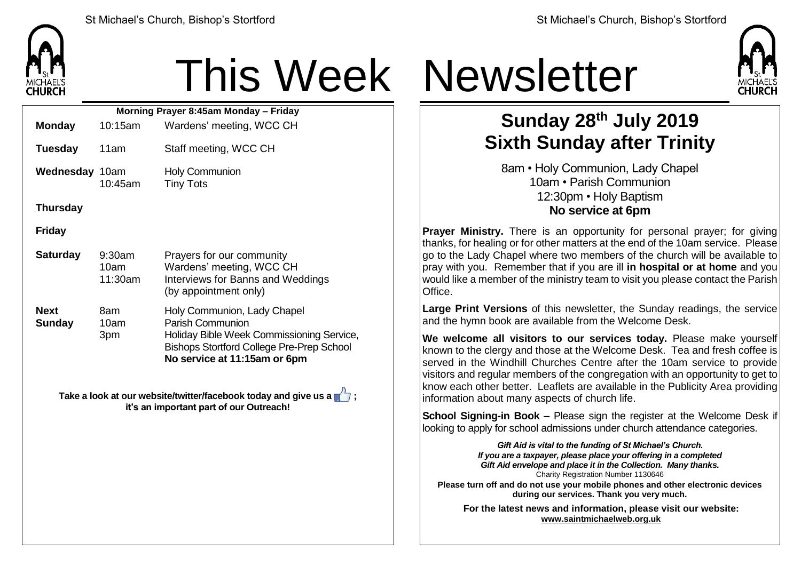

## This Week Newsletter

| Morning Prayer 8:45am Monday - Friday |                           |                                                                                                                                                                                         |  |  |  |
|---------------------------------------|---------------------------|-----------------------------------------------------------------------------------------------------------------------------------------------------------------------------------------|--|--|--|
| <b>Monday</b>                         | 10:15am                   | Wardens' meeting, WCC CH                                                                                                                                                                |  |  |  |
| <b>Tuesday</b>                        | 11am                      | Staff meeting, WCC CH                                                                                                                                                                   |  |  |  |
| <b>Wednesday 10am</b>                 | 10:45am                   | <b>Holy Communion</b><br><b>Tiny Tots</b>                                                                                                                                               |  |  |  |
| <b>Thursday</b>                       |                           |                                                                                                                                                                                         |  |  |  |
| <b>Friday</b>                         |                           |                                                                                                                                                                                         |  |  |  |
| <b>Saturday</b>                       | 9:30am<br>10am<br>11:30am | Prayers for our community<br>Wardens' meeting, WCC CH<br>Interviews for Banns and Weddings<br>(by appointment only)                                                                     |  |  |  |
| <b>Next</b><br><b>Sunday</b>          | 8am<br>10am<br>3pm        | Holy Communion, Lady Chapel<br><b>Parish Communion</b><br>Holiday Bible Week Commissioning Service,<br><b>Bishops Stortford College Pre-Prep School</b><br>No service at 11:15am or 6pm |  |  |  |

**Take a look at our website/twitter/facebook today and give us a**  $\sqrt{7}$ **; it's an important part of our Outreach!**



## **Sunday 28 th July 2019 Sixth Sunday after Trinity**

8am • Holy Communion, Lady Chapel 10am • Parish Communion 12:30pm • Holy Baptism **No service at 6pm**

**Prayer Ministry.** There is an opportunity for personal prayer; for giving thanks, for healing or for other matters at the end of the 10am service. Please go to the Lady Chapel where two members of the church will be available to pray with you. Remember that if you are ill **in hospital or at home** and you would like a member of the ministry team to visit you please contact the Parish Office.

**Large Print Versions** of this newsletter, the Sunday readings, the service and the hymn book are available from the Welcome Desk.

**We welcome all visitors to our services today.** Please make yourself known to the clergy and those at the Welcome Desk. Tea and fresh coffee is served in the Windhill Churches Centre after the 10am service to provide visitors and regular members of the congregation with an opportunity to get to know each other better. Leaflets are available in the Publicity Area providing information about many aspects of church life.

**School Signing-in Book –** Please sign the register at the Welcome Desk if looking to apply for school admissions under church attendance categories.

*Gift Aid is vital to the funding of St Michael's Church. If you are a taxpayer, please place your offering in a completed Gift Aid envelope and place it in the Collection. Many thanks.* Charity Registration Number 1130646 **Please turn off and do not use your mobile phones and other electronic devices during our services. Thank you very much.**

**For the latest news and information, please visit our website: [www.saintmichaelweb.org.uk](http://www.saintmichaelweb.org.uk/)**